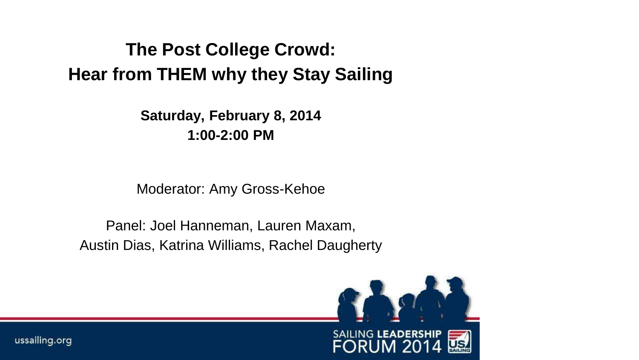### **The Post College Crowd: Hear from THEM why they Stay Sailing**

**Saturday, February 8, 2014 1:00-2:00 PM**

Moderator: Amy Gross-Kehoe

Panel: Joel Hanneman, Lauren Maxam, Austin Dias, Katrina Williams, Rachel Daugherty

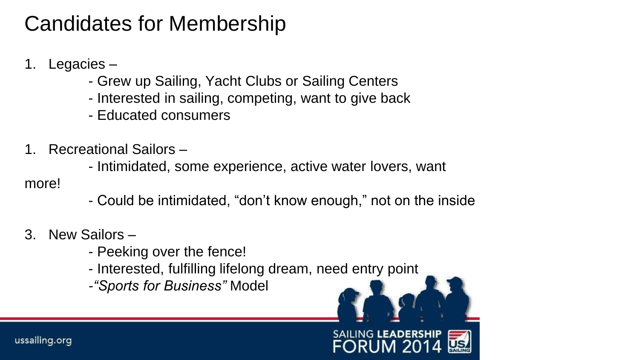### Candidates for Membership

- 1. Legacies
	- Grew up Sailing, Yacht Clubs or Sailing Centers
	- Interested in sailing, competing, want to give back
	- Educated consumers
- 1. Recreational Sailors
	- Intimidated, some experience, active water lovers, want
- more!
- Could be intimidated, "don't know enough," not on the inside
- 3. New Sailors
	- Peeking over the fence!
	- Interested, fulfilling lifelong dream, need entry point
	- *-"Sports for Business"* Model

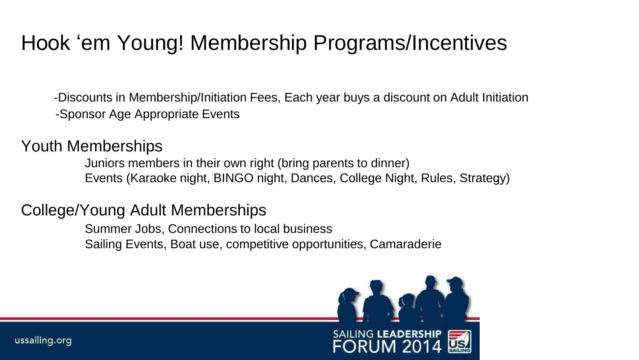### Hook 'em Young! Membership Programs/Incentives

 -Discounts in Membership/Initiation Fees, Each year buys a discount on Adult Initiation -Sponsor Age Appropriate Events

Youth Memberships

Juniors members in their own right (bring parents to dinner) Events (Karaoke night, BINGO night, Dances, College Night, Rules, Strategy)

#### College/Young Adult Memberships

Summer Jobs, Connections to local business Sailing Events, Boat use, competitive opportunities, Camaraderie

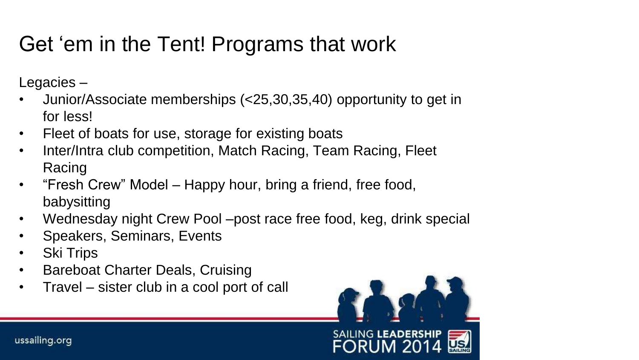# Get 'em in the Tent! Programs that work

Legacies –

- Junior/Associate memberships (<25,30,35,40) opportunity to get in for less!
- Fleet of boats for use, storage for existing boats
- Inter/Intra club competition, Match Racing, Team Racing, Fleet Racing
- "Fresh Crew" Model Happy hour, bring a friend, free food, babysitting
- Wednesday night Crew Pool –post race free food, keg, drink special
- Speakers, Seminars, Events
- Ski Trips
- Bareboat Charter Deals, Cruising
- Travel sister club in a cool port of call

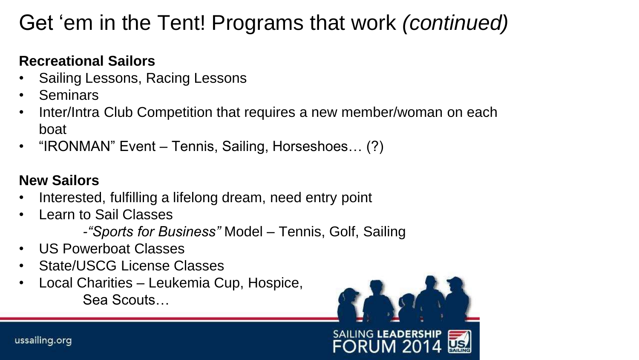## Get 'em in the Tent! Programs that work *(continued)*

#### **Recreational Sailors**

- Sailing Lessons, Racing Lessons
- Seminars
- Inter/Intra Club Competition that requires a new member/woman on each boat
- "IRONMAN" Event Tennis, Sailing, Horseshoes… (?)

#### **New Sailors**

- Interested, fulfilling a lifelong dream, need entry point
- Learn to Sail Classes
	- *-"Sports for Business"* Model Tennis, Golf, Sailing
- US Powerboat Classes
- State/USCG License Classes
- Local Charities Leukemia Cup, Hospice, Sea Scouts…

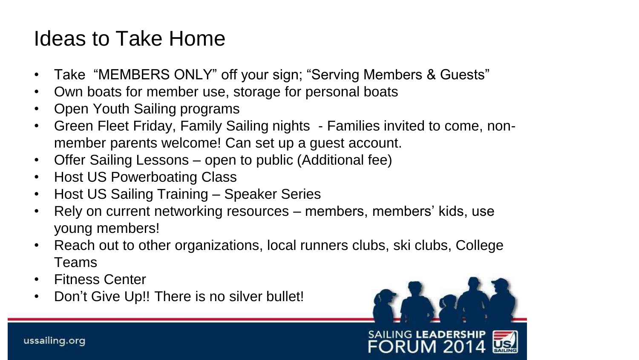### Ideas to Take Home

- Take "MEMBERS ONLY" off your sign; "Serving Members & Guests"
- Own boats for member use, storage for personal boats
- Open Youth Sailing programs
- Green Fleet Friday, Family Sailing nights Families invited to come, nonmember parents welcome! Can set up a guest account.
- Offer Sailing Lessons open to public (Additional fee)
- Host US Powerboating Class
- Host US Sailing Training Speaker Series
- Rely on current networking resources members, members' kids, use young members!
- Reach out to other organizations, local runners clubs, ski clubs, College Teams
- Fitness Center
- Don't Give Up!! There is no silver bullet!